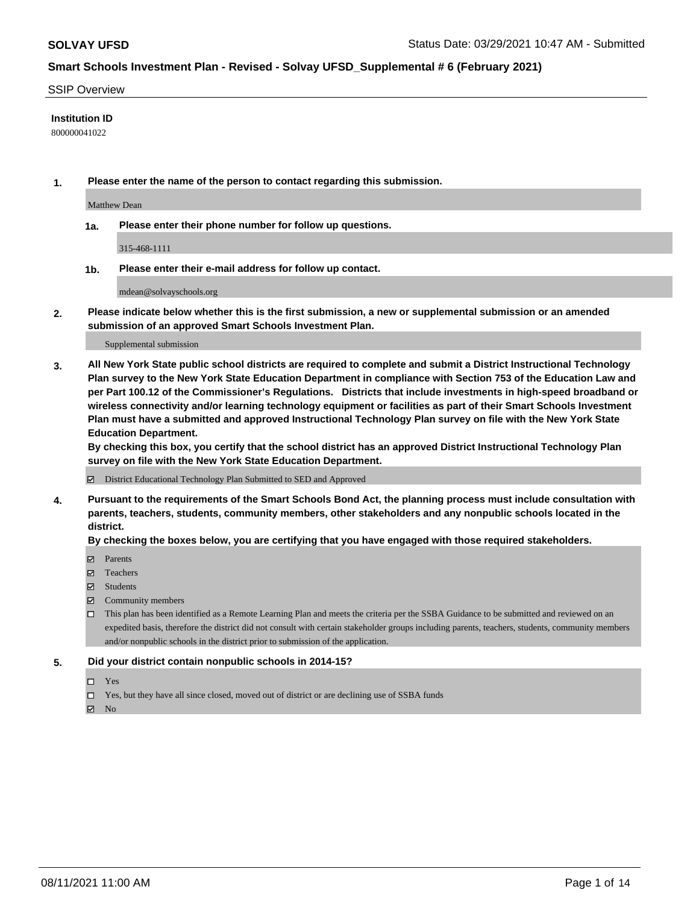### SSIP Overview

### **Institution ID**

800000041022

**1. Please enter the name of the person to contact regarding this submission.**

Matthew Dean

**1a. Please enter their phone number for follow up questions.**

315-468-1111

**1b. Please enter their e-mail address for follow up contact.**

mdean@solvayschools.org

**2. Please indicate below whether this is the first submission, a new or supplemental submission or an amended submission of an approved Smart Schools Investment Plan.**

#### Supplemental submission

**3. All New York State public school districts are required to complete and submit a District Instructional Technology Plan survey to the New York State Education Department in compliance with Section 753 of the Education Law and per Part 100.12 of the Commissioner's Regulations. Districts that include investments in high-speed broadband or wireless connectivity and/or learning technology equipment or facilities as part of their Smart Schools Investment Plan must have a submitted and approved Instructional Technology Plan survey on file with the New York State Education Department.** 

**By checking this box, you certify that the school district has an approved District Instructional Technology Plan survey on file with the New York State Education Department.**

District Educational Technology Plan Submitted to SED and Approved

**4. Pursuant to the requirements of the Smart Schools Bond Act, the planning process must include consultation with parents, teachers, students, community members, other stakeholders and any nonpublic schools located in the district.** 

### **By checking the boxes below, you are certifying that you have engaged with those required stakeholders.**

- **Parents**
- Teachers
- Students
- $\boxtimes$  Community members
- This plan has been identified as a Remote Learning Plan and meets the criteria per the SSBA Guidance to be submitted and reviewed on an expedited basis, therefore the district did not consult with certain stakeholder groups including parents, teachers, students, community members and/or nonpublic schools in the district prior to submission of the application.
- **5. Did your district contain nonpublic schools in 2014-15?**
	- □ Yes
	- □ Yes, but they have all since closed, moved out of district or are declining use of SSBA funds

 $M$  No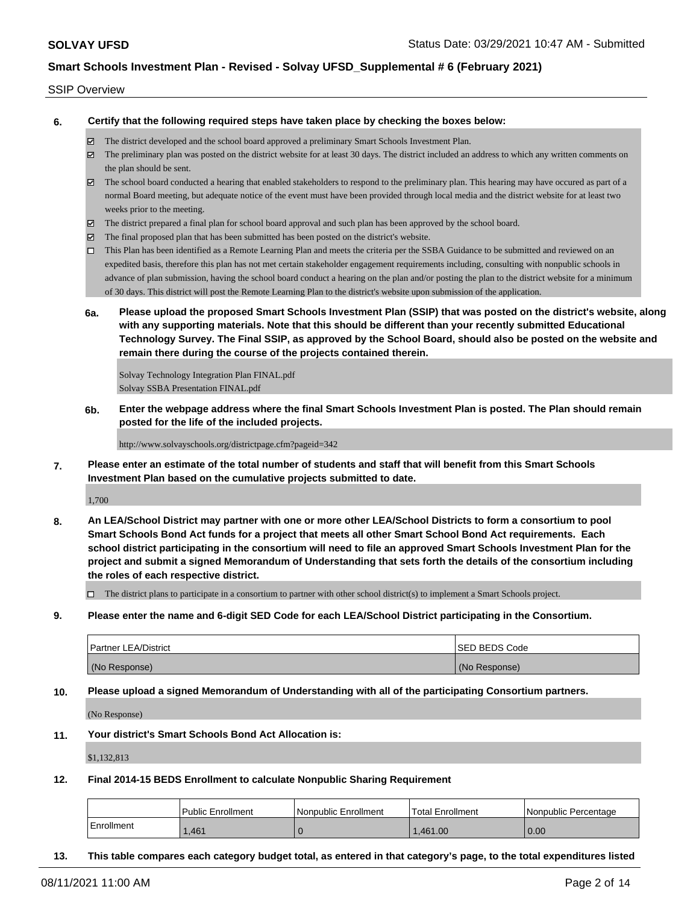### SSIP Overview

**6. Certify that the following required steps have taken place by checking the boxes below:**

- The district developed and the school board approved a preliminary Smart Schools Investment Plan.
- The preliminary plan was posted on the district website for at least 30 days. The district included an address to which any written comments on the plan should be sent.
- $\boxtimes$  The school board conducted a hearing that enabled stakeholders to respond to the preliminary plan. This hearing may have occured as part of a normal Board meeting, but adequate notice of the event must have been provided through local media and the district website for at least two weeks prior to the meeting.
- The district prepared a final plan for school board approval and such plan has been approved by the school board.
- $\boxtimes$  The final proposed plan that has been submitted has been posted on the district's website.
- This Plan has been identified as a Remote Learning Plan and meets the criteria per the SSBA Guidance to be submitted and reviewed on an expedited basis, therefore this plan has not met certain stakeholder engagement requirements including, consulting with nonpublic schools in advance of plan submission, having the school board conduct a hearing on the plan and/or posting the plan to the district website for a minimum of 30 days. This district will post the Remote Learning Plan to the district's website upon submission of the application.
- **6a. Please upload the proposed Smart Schools Investment Plan (SSIP) that was posted on the district's website, along with any supporting materials. Note that this should be different than your recently submitted Educational Technology Survey. The Final SSIP, as approved by the School Board, should also be posted on the website and remain there during the course of the projects contained therein.**

Solvay Technology Integration Plan FINAL.pdf Solvay SSBA Presentation FINAL.pdf

**6b. Enter the webpage address where the final Smart Schools Investment Plan is posted. The Plan should remain posted for the life of the included projects.**

http://www.solvayschools.org/districtpage.cfm?pageid=342

**7. Please enter an estimate of the total number of students and staff that will benefit from this Smart Schools Investment Plan based on the cumulative projects submitted to date.**

1,700

**8. An LEA/School District may partner with one or more other LEA/School Districts to form a consortium to pool Smart Schools Bond Act funds for a project that meets all other Smart School Bond Act requirements. Each school district participating in the consortium will need to file an approved Smart Schools Investment Plan for the project and submit a signed Memorandum of Understanding that sets forth the details of the consortium including the roles of each respective district.**

 $\Box$  The district plans to participate in a consortium to partner with other school district(s) to implement a Smart Schools project.

**9. Please enter the name and 6-digit SED Code for each LEA/School District participating in the Consortium.**

| <b>Partner LEA/District</b> | <b>ISED BEDS Code</b> |
|-----------------------------|-----------------------|
| (No Response)               | (No Response)         |

**10. Please upload a signed Memorandum of Understanding with all of the participating Consortium partners.**

(No Response)

**11. Your district's Smart Schools Bond Act Allocation is:**

\$1,132,813

**12. Final 2014-15 BEDS Enrollment to calculate Nonpublic Sharing Requirement**

|            | <b>Public Enrollment</b> | Nonpublic Enrollment | Total Enrollment | Nonpublic Percentage |
|------------|--------------------------|----------------------|------------------|----------------------|
| Enrollment | .461                     |                      | 1.461.00         | 0.00                 |

**13. This table compares each category budget total, as entered in that category's page, to the total expenditures listed**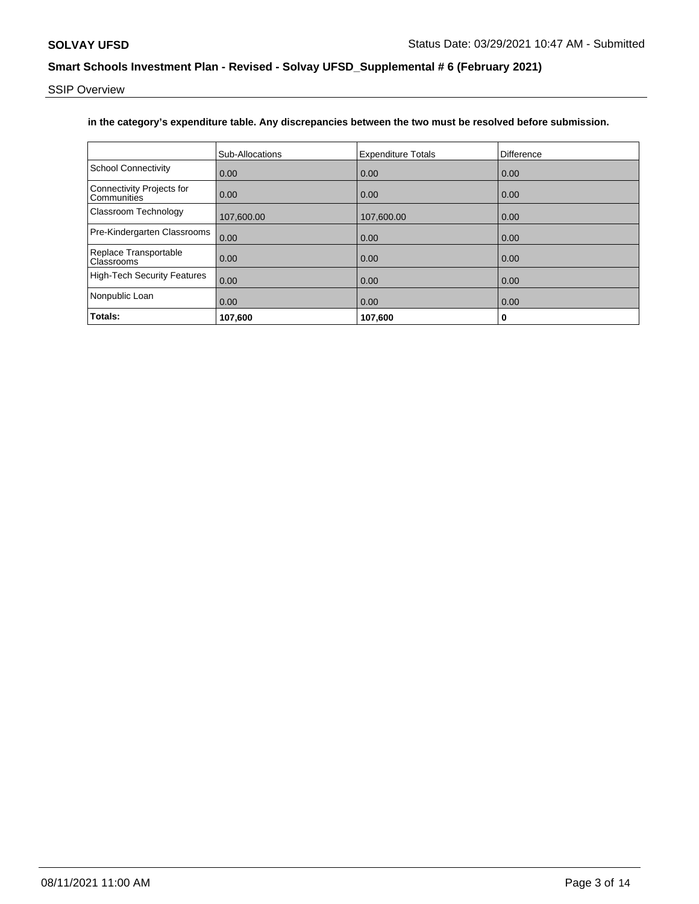SSIP Overview

## **in the category's expenditure table. Any discrepancies between the two must be resolved before submission.**

|                                                 | Sub-Allocations | <b>Expenditure Totals</b> | Difference |
|-------------------------------------------------|-----------------|---------------------------|------------|
| <b>School Connectivity</b>                      | 0.00            | 0.00                      | 0.00       |
| <b>Connectivity Projects for</b><br>Communities | 0.00            | 0.00                      | 0.00       |
| <b>Classroom Technology</b>                     | 107,600.00      | 107,600.00                | 0.00       |
| Pre-Kindergarten Classrooms                     | 0.00            | 0.00                      | 0.00       |
| Replace Transportable<br><b>Classrooms</b>      | 0.00            | 0.00                      | 0.00       |
| <b>High-Tech Security Features</b>              | 0.00            | 0.00                      | 0.00       |
| Nonpublic Loan                                  | 0.00            | 0.00                      | 0.00       |
| Totals:                                         | 107,600         | 107,600                   | 0          |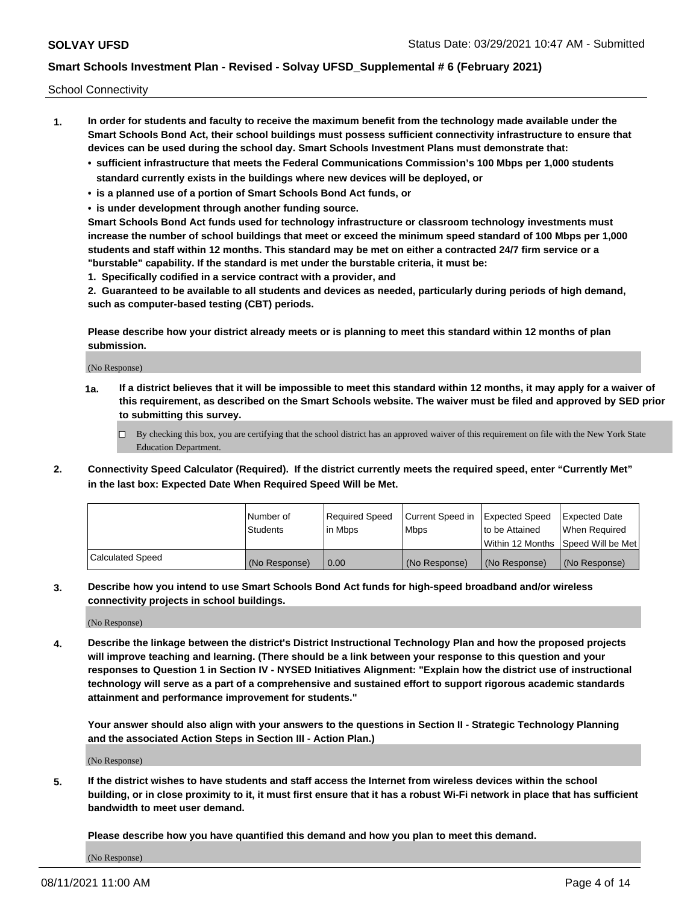School Connectivity

- **1. In order for students and faculty to receive the maximum benefit from the technology made available under the Smart Schools Bond Act, their school buildings must possess sufficient connectivity infrastructure to ensure that devices can be used during the school day. Smart Schools Investment Plans must demonstrate that:**
	- **• sufficient infrastructure that meets the Federal Communications Commission's 100 Mbps per 1,000 students standard currently exists in the buildings where new devices will be deployed, or**
	- **• is a planned use of a portion of Smart Schools Bond Act funds, or**
	- **• is under development through another funding source.**

**Smart Schools Bond Act funds used for technology infrastructure or classroom technology investments must increase the number of school buildings that meet or exceed the minimum speed standard of 100 Mbps per 1,000 students and staff within 12 months. This standard may be met on either a contracted 24/7 firm service or a "burstable" capability. If the standard is met under the burstable criteria, it must be:**

**1. Specifically codified in a service contract with a provider, and**

**2. Guaranteed to be available to all students and devices as needed, particularly during periods of high demand, such as computer-based testing (CBT) periods.**

**Please describe how your district already meets or is planning to meet this standard within 12 months of plan submission.**

(No Response)

**1a. If a district believes that it will be impossible to meet this standard within 12 months, it may apply for a waiver of this requirement, as described on the Smart Schools website. The waiver must be filed and approved by SED prior to submitting this survey.**

 $\Box$  By checking this box, you are certifying that the school district has an approved waiver of this requirement on file with the New York State Education Department.

**2. Connectivity Speed Calculator (Required). If the district currently meets the required speed, enter "Currently Met" in the last box: Expected Date When Required Speed Will be Met.**

|                  | l Number of     | Required Speed | Current Speed in | Expected Speed  | Expected Date                           |
|------------------|-----------------|----------------|------------------|-----------------|-----------------------------------------|
|                  | <b>Students</b> | In Mbps        | l Mbps           | to be Attained  | When Required                           |
|                  |                 |                |                  |                 | l Within 12 Months ISpeed Will be Met l |
| Calculated Speed | (No Response)   | 0.00           | (No Response)    | l (No Response) | l (No Response)                         |

**3. Describe how you intend to use Smart Schools Bond Act funds for high-speed broadband and/or wireless connectivity projects in school buildings.**

(No Response)

**4. Describe the linkage between the district's District Instructional Technology Plan and how the proposed projects will improve teaching and learning. (There should be a link between your response to this question and your responses to Question 1 in Section IV - NYSED Initiatives Alignment: "Explain how the district use of instructional technology will serve as a part of a comprehensive and sustained effort to support rigorous academic standards attainment and performance improvement for students."** 

**Your answer should also align with your answers to the questions in Section II - Strategic Technology Planning and the associated Action Steps in Section III - Action Plan.)**

(No Response)

**5. If the district wishes to have students and staff access the Internet from wireless devices within the school building, or in close proximity to it, it must first ensure that it has a robust Wi-Fi network in place that has sufficient bandwidth to meet user demand.**

**Please describe how you have quantified this demand and how you plan to meet this demand.**

(No Response)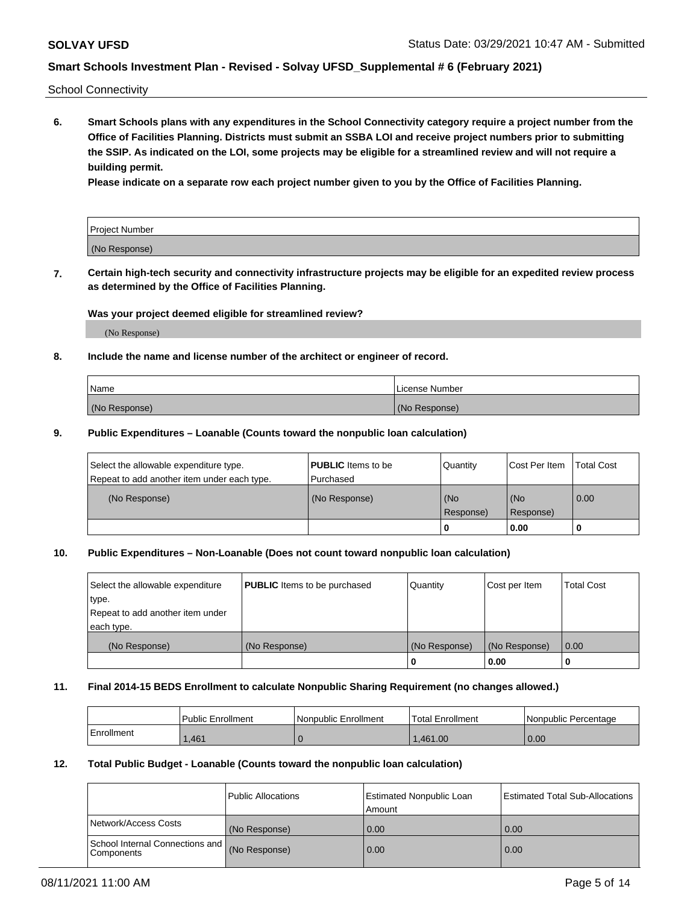School Connectivity

**6. Smart Schools plans with any expenditures in the School Connectivity category require a project number from the Office of Facilities Planning. Districts must submit an SSBA LOI and receive project numbers prior to submitting the SSIP. As indicated on the LOI, some projects may be eligible for a streamlined review and will not require a building permit.**

**Please indicate on a separate row each project number given to you by the Office of Facilities Planning.**

| Project Number |  |
|----------------|--|
| (No Response)  |  |

**7. Certain high-tech security and connectivity infrastructure projects may be eligible for an expedited review process as determined by the Office of Facilities Planning.**

### **Was your project deemed eligible for streamlined review?**

(No Response)

### **8. Include the name and license number of the architect or engineer of record.**

| Name          | License Number |
|---------------|----------------|
| (No Response) | (No Response)  |

### **9. Public Expenditures – Loanable (Counts toward the nonpublic loan calculation)**

| Select the allowable expenditure type.<br>Repeat to add another item under each type. | <b>PUBLIC</b> Items to be<br>l Purchased | Quantity           | Cost Per Item    | <b>Total Cost</b> |
|---------------------------------------------------------------------------------------|------------------------------------------|--------------------|------------------|-------------------|
| (No Response)                                                                         | (No Response)                            | l (No<br>Response) | (No<br>Response) | $\overline{0.00}$ |
|                                                                                       |                                          | 0                  | 0.00             |                   |

## **10. Public Expenditures – Non-Loanable (Does not count toward nonpublic loan calculation)**

| Select the allowable expenditure<br>type.<br>Repeat to add another item under<br>each type. | <b>PUBLIC</b> Items to be purchased | Quantity      | Cost per Item | <b>Total Cost</b> |
|---------------------------------------------------------------------------------------------|-------------------------------------|---------------|---------------|-------------------|
| (No Response)                                                                               | (No Response)                       | (No Response) | (No Response) | 0.00              |
|                                                                                             |                                     |               | 0.00          |                   |

#### **11. Final 2014-15 BEDS Enrollment to calculate Nonpublic Sharing Requirement (no changes allowed.)**

|            | Public Enrollment | Nonpublic Enrollment | 'Total Enrollment | l Nonpublic Percentage |
|------------|-------------------|----------------------|-------------------|------------------------|
| Enrollment | .461              |                      | .461.00           | 0.00                   |

### **12. Total Public Budget - Loanable (Counts toward the nonpublic loan calculation)**

|                                               | Public Allocations | <b>Estimated Nonpublic Loan</b><br>Amount | Estimated Total Sub-Allocations |
|-----------------------------------------------|--------------------|-------------------------------------------|---------------------------------|
| Network/Access Costs                          | (No Response)      | 0.00                                      | 0.00                            |
| School Internal Connections and<br>Components | (No Response)      | 0.00                                      | 0.00                            |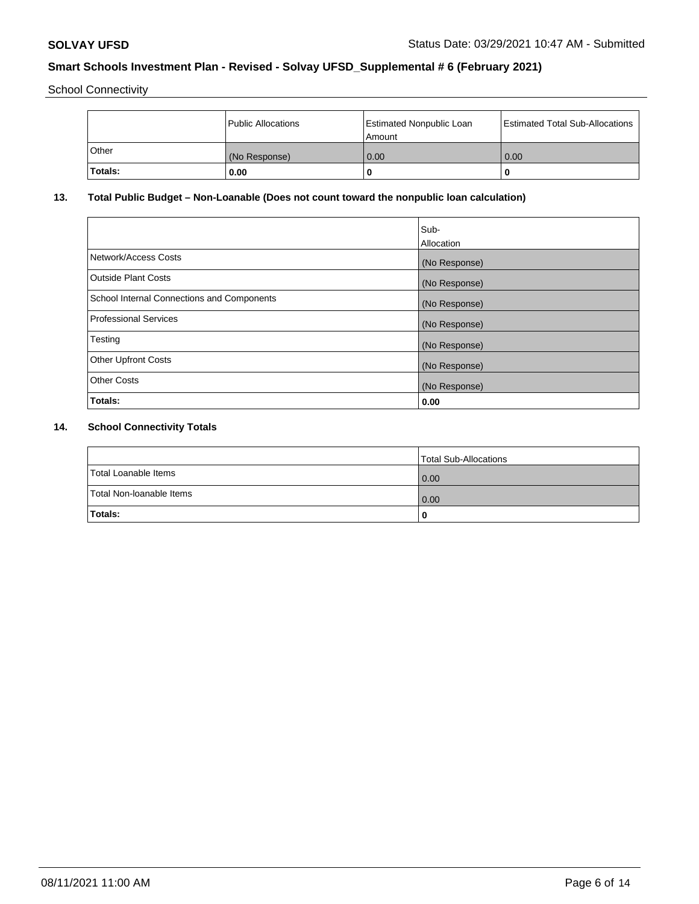School Connectivity

|              | Public Allocations | <b>Estimated Nonpublic Loan</b><br>Amount | <b>Estimated Total Sub-Allocations</b> |
|--------------|--------------------|-------------------------------------------|----------------------------------------|
| <b>Other</b> | (No Response)      | 0.00                                      | 0.00                                   |
| Totals:      | 0.00               |                                           | 0                                      |

# **13. Total Public Budget – Non-Loanable (Does not count toward the nonpublic loan calculation)**

|                                                   | Sub-<br>Allocation |
|---------------------------------------------------|--------------------|
|                                                   |                    |
| Network/Access Costs                              | (No Response)      |
| <b>Outside Plant Costs</b>                        | (No Response)      |
| <b>School Internal Connections and Components</b> | (No Response)      |
| Professional Services                             | (No Response)      |
| Testing                                           | (No Response)      |
| <b>Other Upfront Costs</b>                        | (No Response)      |
| <b>Other Costs</b>                                | (No Response)      |
| <b>Totals:</b>                                    | 0.00               |

# **14. School Connectivity Totals**

|                          | Total Sub-Allocations |
|--------------------------|-----------------------|
| Total Loanable Items     | 0.00                  |
| Total Non-Ioanable Items | 0.00                  |
| Totals:                  | 0                     |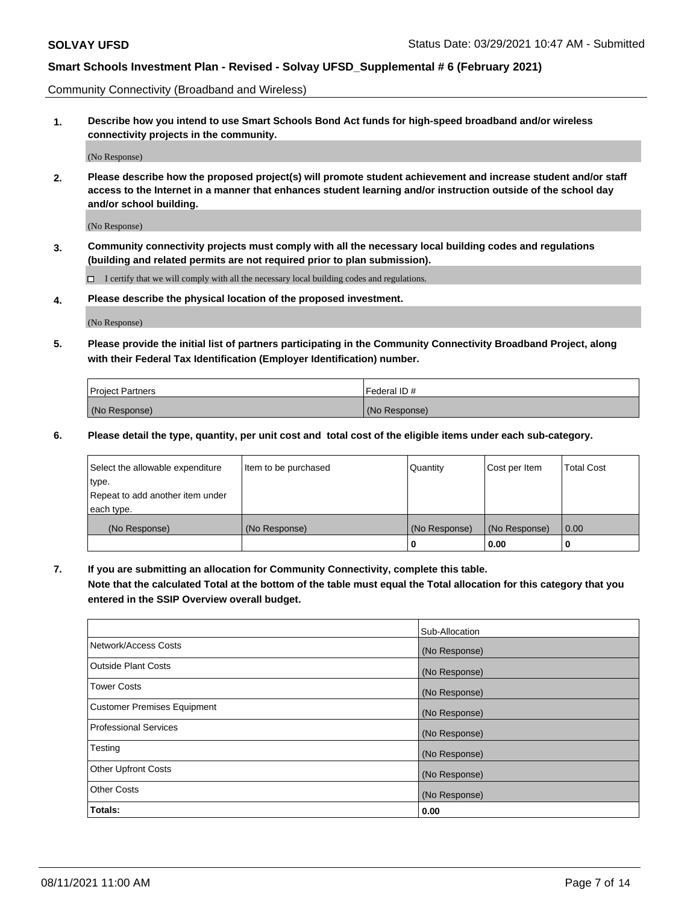Community Connectivity (Broadband and Wireless)

**1. Describe how you intend to use Smart Schools Bond Act funds for high-speed broadband and/or wireless connectivity projects in the community.**

(No Response)

**2. Please describe how the proposed project(s) will promote student achievement and increase student and/or staff access to the Internet in a manner that enhances student learning and/or instruction outside of the school day and/or school building.**

(No Response)

**3. Community connectivity projects must comply with all the necessary local building codes and regulations (building and related permits are not required prior to plan submission).**

 $\Box$  I certify that we will comply with all the necessary local building codes and regulations.

**4. Please describe the physical location of the proposed investment.**

(No Response)

**5. Please provide the initial list of partners participating in the Community Connectivity Broadband Project, along with their Federal Tax Identification (Employer Identification) number.**

| <b>Project Partners</b> | l Federal ID # |
|-------------------------|----------------|
| (No Response)           | (No Response)  |

**6. Please detail the type, quantity, per unit cost and total cost of the eligible items under each sub-category.**

| Select the allowable expenditure | Item to be purchased | Quantity      | Cost per Item | <b>Total Cost</b> |
|----------------------------------|----------------------|---------------|---------------|-------------------|
| type.                            |                      |               |               |                   |
| Repeat to add another item under |                      |               |               |                   |
| each type.                       |                      |               |               |                   |
| (No Response)                    | (No Response)        | (No Response) | (No Response) | 0.00              |
|                                  |                      | U             | 0.00          | -0                |

**7. If you are submitting an allocation for Community Connectivity, complete this table.**

**Note that the calculated Total at the bottom of the table must equal the Total allocation for this category that you entered in the SSIP Overview overall budget.**

|                                    | Sub-Allocation |
|------------------------------------|----------------|
| Network/Access Costs               | (No Response)  |
| Outside Plant Costs                | (No Response)  |
| <b>Tower Costs</b>                 | (No Response)  |
| <b>Customer Premises Equipment</b> | (No Response)  |
| <b>Professional Services</b>       | (No Response)  |
| Testing                            | (No Response)  |
| <b>Other Upfront Costs</b>         | (No Response)  |
| <b>Other Costs</b>                 | (No Response)  |
| Totals:                            | 0.00           |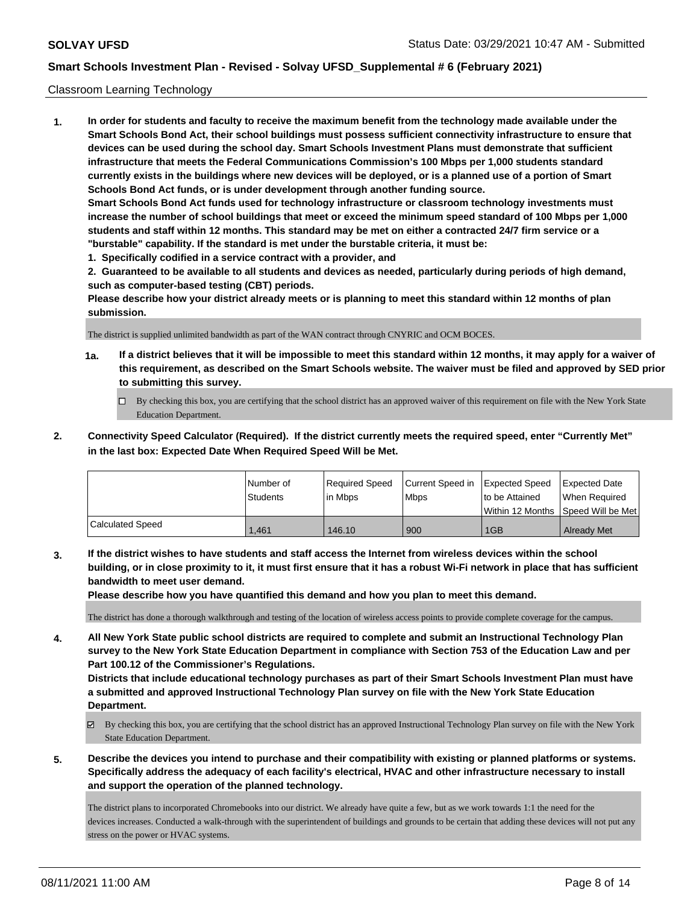### Classroom Learning Technology

**1. In order for students and faculty to receive the maximum benefit from the technology made available under the Smart Schools Bond Act, their school buildings must possess sufficient connectivity infrastructure to ensure that devices can be used during the school day. Smart Schools Investment Plans must demonstrate that sufficient infrastructure that meets the Federal Communications Commission's 100 Mbps per 1,000 students standard currently exists in the buildings where new devices will be deployed, or is a planned use of a portion of Smart Schools Bond Act funds, or is under development through another funding source. Smart Schools Bond Act funds used for technology infrastructure or classroom technology investments must increase the number of school buildings that meet or exceed the minimum speed standard of 100 Mbps per 1,000 students and staff within 12 months. This standard may be met on either a contracted 24/7 firm service or a "burstable" capability. If the standard is met under the burstable criteria, it must be:**

**1. Specifically codified in a service contract with a provider, and**

**2. Guaranteed to be available to all students and devices as needed, particularly during periods of high demand, such as computer-based testing (CBT) periods.**

**Please describe how your district already meets or is planning to meet this standard within 12 months of plan submission.**

The district is supplied unlimited bandwidth as part of the WAN contract through CNYRIC and OCM BOCES.

- **1a. If a district believes that it will be impossible to meet this standard within 12 months, it may apply for a waiver of this requirement, as described on the Smart Schools website. The waiver must be filed and approved by SED prior to submitting this survey.**
	- By checking this box, you are certifying that the school district has an approved waiver of this requirement on file with the New York State Education Department.
- **2. Connectivity Speed Calculator (Required). If the district currently meets the required speed, enter "Currently Met" in the last box: Expected Date When Required Speed Will be Met.**

|                         | l Number of     | Required Speed | Current Speed in | <b>Expected Speed</b> | <b>Expected Date</b>                    |
|-------------------------|-----------------|----------------|------------------|-----------------------|-----------------------------------------|
|                         | <b>Students</b> | l in Mbps      | <b>Mbps</b>      | to be Attained        | When Required                           |
|                         |                 |                |                  |                       | l Within 12 Months ISpeed Will be Met l |
| <b>Calculated Speed</b> | 1.461           | 146.10         | 900              | 1GB                   | <b>Already Met</b>                      |

**3. If the district wishes to have students and staff access the Internet from wireless devices within the school building, or in close proximity to it, it must first ensure that it has a robust Wi-Fi network in place that has sufficient bandwidth to meet user demand.**

**Please describe how you have quantified this demand and how you plan to meet this demand.**

The district has done a thorough walkthrough and testing of the location of wireless access points to provide complete coverage for the campus.

**4. All New York State public school districts are required to complete and submit an Instructional Technology Plan survey to the New York State Education Department in compliance with Section 753 of the Education Law and per Part 100.12 of the Commissioner's Regulations.**

**Districts that include educational technology purchases as part of their Smart Schools Investment Plan must have a submitted and approved Instructional Technology Plan survey on file with the New York State Education Department.**

- By checking this box, you are certifying that the school district has an approved Instructional Technology Plan survey on file with the New York State Education Department.
- **5. Describe the devices you intend to purchase and their compatibility with existing or planned platforms or systems. Specifically address the adequacy of each facility's electrical, HVAC and other infrastructure necessary to install and support the operation of the planned technology.**

The district plans to incorporated Chromebooks into our district. We already have quite a few, but as we work towards 1:1 the need for the devices increases. Conducted a walk-through with the superintendent of buildings and grounds to be certain that adding these devices will not put any stress on the power or HVAC systems.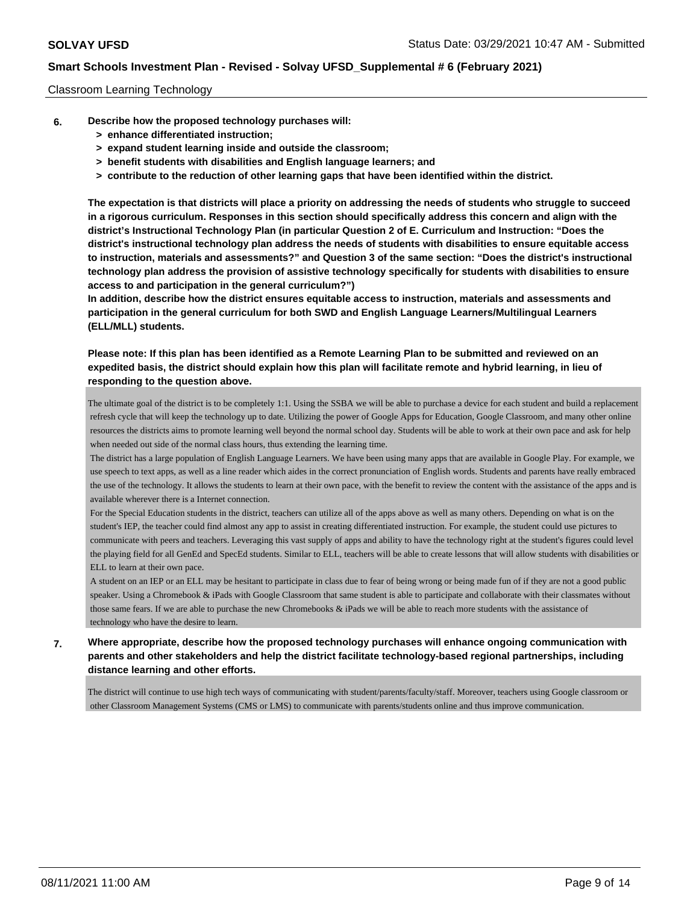### Classroom Learning Technology

- **6. Describe how the proposed technology purchases will:**
	- **> enhance differentiated instruction;**
	- **> expand student learning inside and outside the classroom;**
	- **> benefit students with disabilities and English language learners; and**
	- **> contribute to the reduction of other learning gaps that have been identified within the district.**

**The expectation is that districts will place a priority on addressing the needs of students who struggle to succeed in a rigorous curriculum. Responses in this section should specifically address this concern and align with the district's Instructional Technology Plan (in particular Question 2 of E. Curriculum and Instruction: "Does the district's instructional technology plan address the needs of students with disabilities to ensure equitable access to instruction, materials and assessments?" and Question 3 of the same section: "Does the district's instructional technology plan address the provision of assistive technology specifically for students with disabilities to ensure access to and participation in the general curriculum?")**

**In addition, describe how the district ensures equitable access to instruction, materials and assessments and participation in the general curriculum for both SWD and English Language Learners/Multilingual Learners (ELL/MLL) students.**

**Please note: If this plan has been identified as a Remote Learning Plan to be submitted and reviewed on an expedited basis, the district should explain how this plan will facilitate remote and hybrid learning, in lieu of responding to the question above.**

The ultimate goal of the district is to be completely 1:1. Using the SSBA we will be able to purchase a device for each student and build a replacement refresh cycle that will keep the technology up to date. Utilizing the power of Google Apps for Education, Google Classroom, and many other online resources the districts aims to promote learning well beyond the normal school day. Students will be able to work at their own pace and ask for help when needed out side of the normal class hours, thus extending the learning time.

 The district has a large population of English Language Learners. We have been using many apps that are available in Google Play. For example, we use speech to text apps, as well as a line reader which aides in the correct pronunciation of English words. Students and parents have really embraced the use of the technology. It allows the students to learn at their own pace, with the benefit to review the content with the assistance of the apps and is available wherever there is a Internet connection.

 For the Special Education students in the district, teachers can utilize all of the apps above as well as many others. Depending on what is on the student's IEP, the teacher could find almost any app to assist in creating differentiated instruction. For example, the student could use pictures to communicate with peers and teachers. Leveraging this vast supply of apps and ability to have the technology right at the student's figures could level the playing field for all GenEd and SpecEd students. Similar to ELL, teachers will be able to create lessons that will allow students with disabilities or ELL to learn at their own pace.

 A student on an IEP or an ELL may be hesitant to participate in class due to fear of being wrong or being made fun of if they are not a good public speaker. Using a Chromebook & iPads with Google Classroom that same student is able to participate and collaborate with their classmates without those same fears. If we are able to purchase the new Chromebooks & iPads we will be able to reach more students with the assistance of technology who have the desire to learn.

**7. Where appropriate, describe how the proposed technology purchases will enhance ongoing communication with parents and other stakeholders and help the district facilitate technology-based regional partnerships, including distance learning and other efforts.**

The district will continue to use high tech ways of communicating with student/parents/faculty/staff. Moreover, teachers using Google classroom or other Classroom Management Systems (CMS or LMS) to communicate with parents/students online and thus improve communication.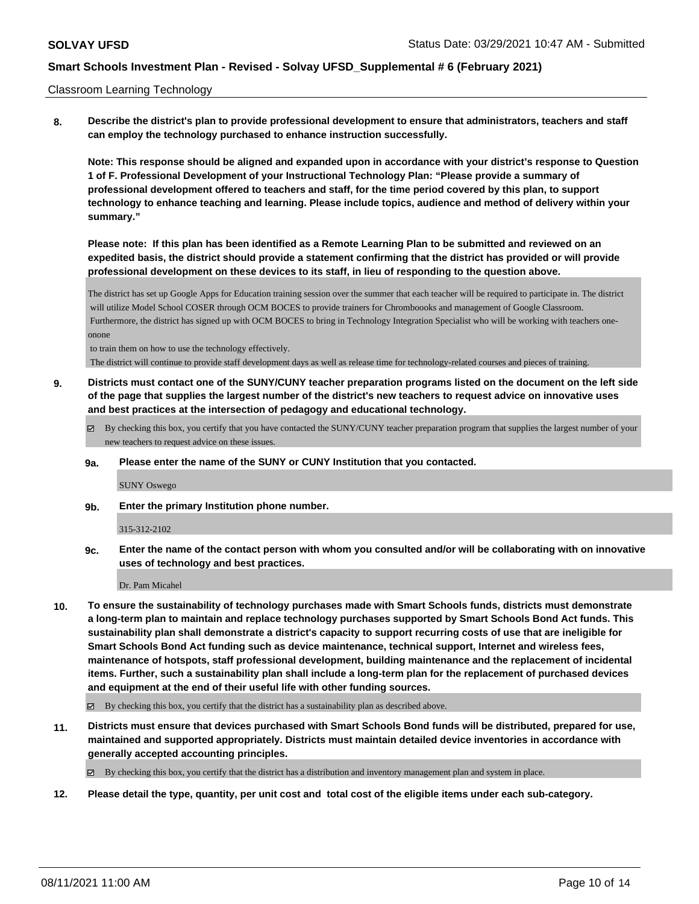#### Classroom Learning Technology

**8. Describe the district's plan to provide professional development to ensure that administrators, teachers and staff can employ the technology purchased to enhance instruction successfully.**

**Note: This response should be aligned and expanded upon in accordance with your district's response to Question 1 of F. Professional Development of your Instructional Technology Plan: "Please provide a summary of professional development offered to teachers and staff, for the time period covered by this plan, to support technology to enhance teaching and learning. Please include topics, audience and method of delivery within your summary."**

**Please note: If this plan has been identified as a Remote Learning Plan to be submitted and reviewed on an expedited basis, the district should provide a statement confirming that the district has provided or will provide professional development on these devices to its staff, in lieu of responding to the question above.**

The district has set up Google Apps for Education training session over the summer that each teacher will be required to participate in. The district will utilize Model School COSER through OCM BOCES to provide trainers for Chromboooks and management of Google Classroom. Furthermore, the district has signed up with OCM BOCES to bring in Technology Integration Specialist who will be working with teachers oneonone

to train them on how to use the technology effectively.

The district will continue to provide staff development days as well as release time for technology-related courses and pieces of training.

- **9. Districts must contact one of the SUNY/CUNY teacher preparation programs listed on the document on the left side of the page that supplies the largest number of the district's new teachers to request advice on innovative uses and best practices at the intersection of pedagogy and educational technology.**
	- By checking this box, you certify that you have contacted the SUNY/CUNY teacher preparation program that supplies the largest number of your new teachers to request advice on these issues.
	- **9a. Please enter the name of the SUNY or CUNY Institution that you contacted.**

SUNY Oswego

**9b. Enter the primary Institution phone number.**

#### 315-312-2102

**9c. Enter the name of the contact person with whom you consulted and/or will be collaborating with on innovative uses of technology and best practices.**

Dr. Pam Micahel

**10. To ensure the sustainability of technology purchases made with Smart Schools funds, districts must demonstrate a long-term plan to maintain and replace technology purchases supported by Smart Schools Bond Act funds. This sustainability plan shall demonstrate a district's capacity to support recurring costs of use that are ineligible for Smart Schools Bond Act funding such as device maintenance, technical support, Internet and wireless fees, maintenance of hotspots, staff professional development, building maintenance and the replacement of incidental items. Further, such a sustainability plan shall include a long-term plan for the replacement of purchased devices and equipment at the end of their useful life with other funding sources.**

 $\boxtimes$  By checking this box, you certify that the district has a sustainability plan as described above.

**11. Districts must ensure that devices purchased with Smart Schools Bond funds will be distributed, prepared for use, maintained and supported appropriately. Districts must maintain detailed device inventories in accordance with generally accepted accounting principles.**

By checking this box, you certify that the district has a distribution and inventory management plan and system in place.

**12. Please detail the type, quantity, per unit cost and total cost of the eligible items under each sub-category.**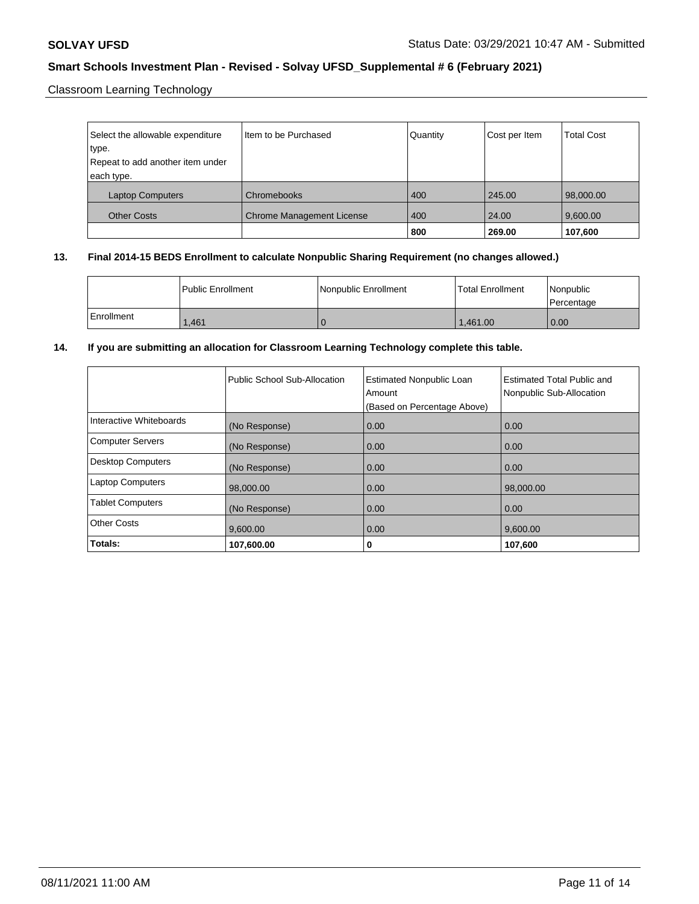Classroom Learning Technology

| Select the allowable expenditure | Item to be Purchased             | Quantity | Cost per Item | <b>Total Cost</b> |
|----------------------------------|----------------------------------|----------|---------------|-------------------|
| type.                            |                                  |          |               |                   |
| Repeat to add another item under |                                  |          |               |                   |
| each type.                       |                                  |          |               |                   |
| <b>Laptop Computers</b>          | Chromebooks                      | 400      | 245.00        | 98,000.00         |
| <b>Other Costs</b>               | <b>Chrome Management License</b> | 400      | 24.00         | 9,600.00          |
|                                  |                                  | 800      | 269.00        | 107,600           |

## **13. Final 2014-15 BEDS Enrollment to calculate Nonpublic Sharing Requirement (no changes allowed.)**

|              | <b>I Public Enrollment</b> | Nonpublic Enrollment | Total Enrollment | l Nonpublic<br>Percentage |
|--------------|----------------------------|----------------------|------------------|---------------------------|
| l Enrollment | 1.461                      |                      | 1.461.00         | 0.00                      |

## **14. If you are submitting an allocation for Classroom Learning Technology complete this table.**

|                          | Public School Sub-Allocation | <b>Estimated Nonpublic Loan</b><br>Amount<br>(Based on Percentage Above) | Estimated Total Public and<br>Nonpublic Sub-Allocation |
|--------------------------|------------------------------|--------------------------------------------------------------------------|--------------------------------------------------------|
| Interactive Whiteboards  | (No Response)                | 0.00                                                                     | 0.00                                                   |
| <b>Computer Servers</b>  | (No Response)                | 0.00                                                                     | 0.00                                                   |
| <b>Desktop Computers</b> | (No Response)                | 0.00                                                                     | 0.00                                                   |
| <b>Laptop Computers</b>  | 98,000.00                    | 0.00                                                                     | 98,000.00                                              |
| <b>Tablet Computers</b>  | (No Response)                | 0.00                                                                     | 0.00                                                   |
| <b>Other Costs</b>       | 9,600.00                     | 0.00                                                                     | 9,600.00                                               |
| Totals:                  | 107,600.00                   | 0                                                                        | 107,600                                                |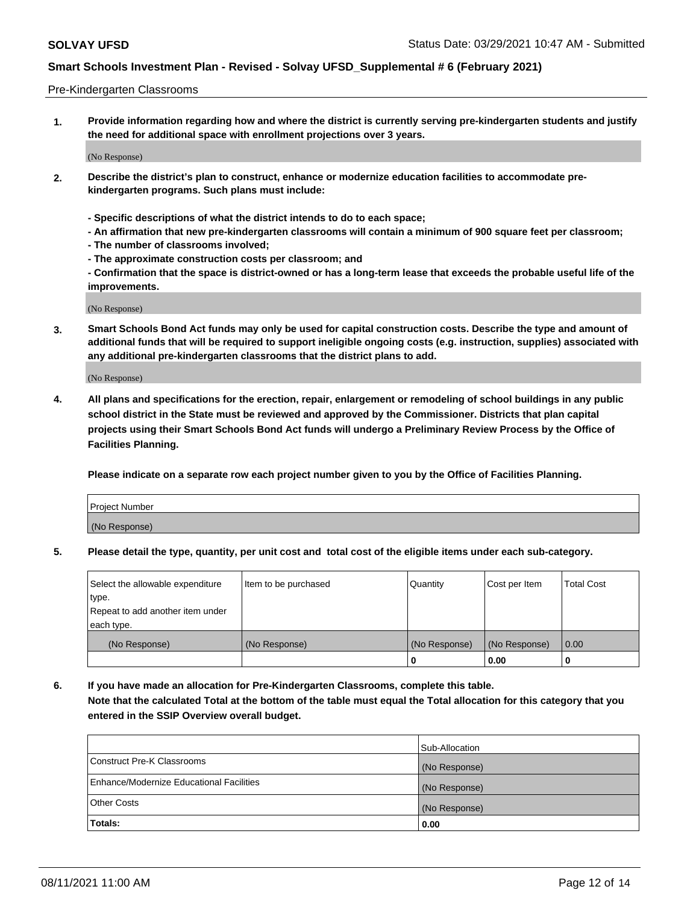#### Pre-Kindergarten Classrooms

**1. Provide information regarding how and where the district is currently serving pre-kindergarten students and justify the need for additional space with enrollment projections over 3 years.**

(No Response)

- **2. Describe the district's plan to construct, enhance or modernize education facilities to accommodate prekindergarten programs. Such plans must include:**
	- **Specific descriptions of what the district intends to do to each space;**
	- **An affirmation that new pre-kindergarten classrooms will contain a minimum of 900 square feet per classroom;**
	- **The number of classrooms involved;**
	- **The approximate construction costs per classroom; and**
	- **Confirmation that the space is district-owned or has a long-term lease that exceeds the probable useful life of the improvements.**

(No Response)

**3. Smart Schools Bond Act funds may only be used for capital construction costs. Describe the type and amount of additional funds that will be required to support ineligible ongoing costs (e.g. instruction, supplies) associated with any additional pre-kindergarten classrooms that the district plans to add.**

(No Response)

**4. All plans and specifications for the erection, repair, enlargement or remodeling of school buildings in any public school district in the State must be reviewed and approved by the Commissioner. Districts that plan capital projects using their Smart Schools Bond Act funds will undergo a Preliminary Review Process by the Office of Facilities Planning.**

**Please indicate on a separate row each project number given to you by the Office of Facilities Planning.**

| Project Number |  |
|----------------|--|
| (No Response)  |  |
|                |  |

**5. Please detail the type, quantity, per unit cost and total cost of the eligible items under each sub-category.**

| Select the allowable expenditure | Item to be purchased | Quantity      | Cost per Item | <b>Total Cost</b> |
|----------------------------------|----------------------|---------------|---------------|-------------------|
| type.                            |                      |               |               |                   |
| Repeat to add another item under |                      |               |               |                   |
| each type.                       |                      |               |               |                   |
| (No Response)                    | (No Response)        | (No Response) | (No Response) | 0.00              |
|                                  |                      | υ             | 0.00          |                   |

**6. If you have made an allocation for Pre-Kindergarten Classrooms, complete this table. Note that the calculated Total at the bottom of the table must equal the Total allocation for this category that you entered in the SSIP Overview overall budget.**

|                                          | Sub-Allocation |
|------------------------------------------|----------------|
| Construct Pre-K Classrooms               | (No Response)  |
| Enhance/Modernize Educational Facilities | (No Response)  |
| <b>Other Costs</b>                       | (No Response)  |
| Totals:                                  | 0.00           |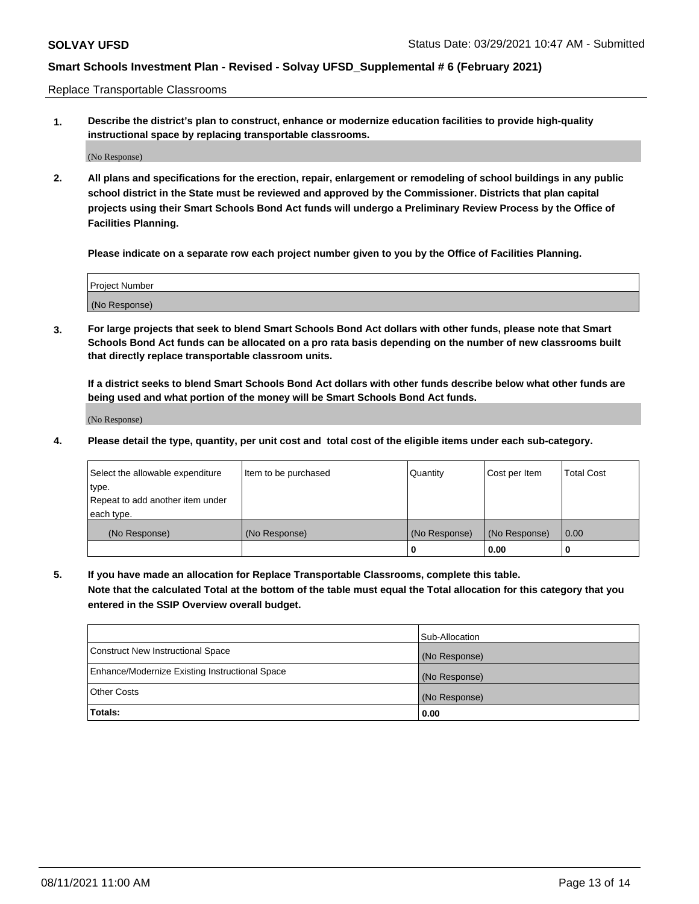Replace Transportable Classrooms

**1. Describe the district's plan to construct, enhance or modernize education facilities to provide high-quality instructional space by replacing transportable classrooms.**

(No Response)

**2. All plans and specifications for the erection, repair, enlargement or remodeling of school buildings in any public school district in the State must be reviewed and approved by the Commissioner. Districts that plan capital projects using their Smart Schools Bond Act funds will undergo a Preliminary Review Process by the Office of Facilities Planning.**

**Please indicate on a separate row each project number given to you by the Office of Facilities Planning.**

| Project Number |  |
|----------------|--|
|                |  |
| (No Response)  |  |

**3. For large projects that seek to blend Smart Schools Bond Act dollars with other funds, please note that Smart Schools Bond Act funds can be allocated on a pro rata basis depending on the number of new classrooms built that directly replace transportable classroom units.**

**If a district seeks to blend Smart Schools Bond Act dollars with other funds describe below what other funds are being used and what portion of the money will be Smart Schools Bond Act funds.**

(No Response)

**4. Please detail the type, quantity, per unit cost and total cost of the eligible items under each sub-category.**

| Select the allowable expenditure | Item to be purchased | Quantity      | Cost per Item | Total Cost |
|----------------------------------|----------------------|---------------|---------------|------------|
| ∣type.                           |                      |               |               |            |
| Repeat to add another item under |                      |               |               |            |
| each type.                       |                      |               |               |            |
| (No Response)                    | (No Response)        | (No Response) | (No Response) | 0.00       |
|                                  |                      | u             | 0.00          |            |

**5. If you have made an allocation for Replace Transportable Classrooms, complete this table. Note that the calculated Total at the bottom of the table must equal the Total allocation for this category that you entered in the SSIP Overview overall budget.**

|                                                | Sub-Allocation |
|------------------------------------------------|----------------|
| Construct New Instructional Space              | (No Response)  |
| Enhance/Modernize Existing Instructional Space | (No Response)  |
| Other Costs                                    | (No Response)  |
| Totals:                                        | 0.00           |